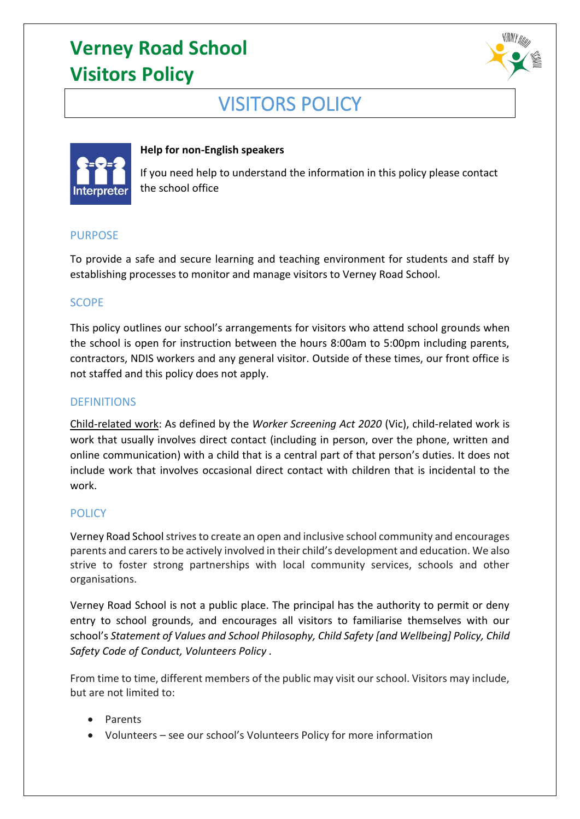

## VISITORS POLICY



### **Help for non-English speakers**

If you need help to understand the information in this policy please contact the school office

#### PURPOSE

To provide a safe and secure learning and teaching environment for students and staff by establishing processes to monitor and manage visitors to Verney Road School.

#### **SCOPE**

This policy outlines our school's arrangements for visitors who attend school grounds when the school is open for instruction between the hours 8:00am to 5:00pm including parents, contractors, NDIS workers and any general visitor. Outside of these times, our front office is not staffed and this policy does not apply.

#### **DEFINITIONS**

Child-related work: As defined by the *Worker Screening Act 2020* (Vic), child-related work is work that usually involves direct contact (including in person, over the phone, written and online communication) with a child that is a central part of that person's duties. It does not include work that involves occasional direct contact with children that is incidental to the work.

## **POLICY**

Verney Road School strives to create an open and inclusive school community and encourages parents and carers to be actively involved in their child's development and education. We also strive to foster strong partnerships with local community services, schools and other organisations.

Verney Road School is not a public place. The principal has the authority to permit or deny entry to school grounds, and encourages all visitors to familiarise themselves with our school's *Statement of Values and School Philosophy, Child Safety [and Wellbeing] Policy, Child Safety Code of Conduct, Volunteers Policy .*

From time to time, different members of the public may visit our school. Visitors may include, but are not limited to:

- Parents
- Volunteers see our school's Volunteers Policy for more information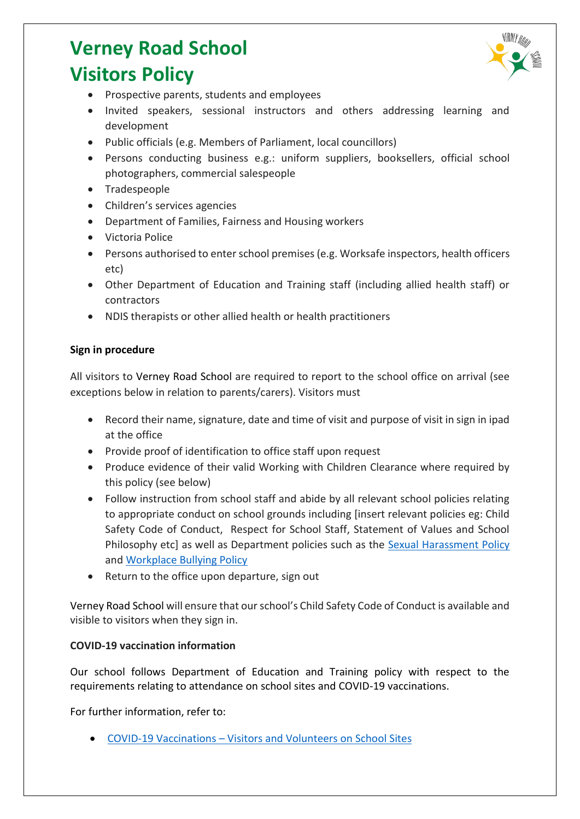

- Prospective parents, students and employees
- Invited speakers, sessional instructors and others addressing learning and development
- Public officials (e.g. Members of Parliament, local councillors)
- Persons conducting business e.g.: uniform suppliers, booksellers, official school photographers, commercial salespeople
- Tradespeople
- Children's services agencies
- Department of Families, Fairness and Housing workers
- Victoria Police
- Persons authorised to enter school premises (e.g. Worksafe inspectors, health officers etc)
- Other Department of Education and Training staff (including allied health staff) or contractors
- NDIS therapists or other allied health or health practitioners

## **Sign in procedure**

All visitors to Verney Road School are required to report to the school office on arrival (see exceptions below in relation to parents/carers). Visitors must

- Record their name, signature, date and time of visit and purpose of visit in sign in ipad at the office
- Provide proof of identification to office staff upon request
- Produce evidence of their valid Working with Children Clearance where required by this policy (see below)
- Follow instruction from school staff and abide by all relevant school policies relating to appropriate conduct on school grounds including [insert relevant policies eg: Child Safety Code of Conduct, Respect for School Staff, Statement of Values and School Philosophy etc] as well as Department policies such as the [Sexual Harassment Policy](https://www2.education.vic.gov.au/pal/sexual-harassment/overview) and [Workplace Bullying Policy](https://www2.education.vic.gov.au/pal/workplace-bullying/policy)
- Return to the office upon departure, sign out

Verney Road School will ensure that our school's Child Safety Code of Conduct is available and visible to visitors when they sign in.

## **COVID-19 vaccination information**

Our school follows Department of Education and Training policy with respect to the requirements relating to attendance on school sites and COVID-19 vaccinations.

For further information, refer to:

• COVID-19 Vaccinations – [Visitors and Volunteers on School Sites](https://www2.education.vic.gov.au/pal/covid-19-vaccinations-visitors-volunteers/policy)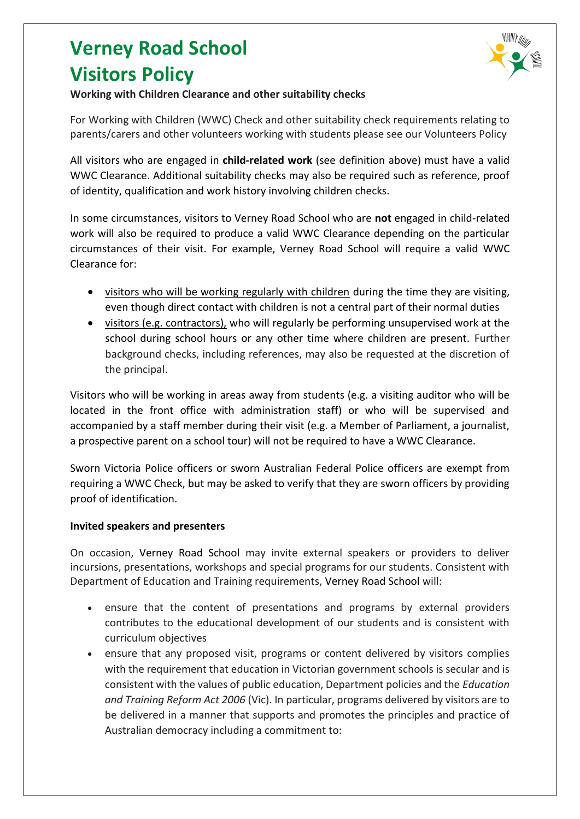

### **Working with Children Clearance and other suitability checks**

For Working with Children (WWC) Check and other suitability check requirements relating to parents/carers and other volunteers working with students please see our Volunteers Policy

All visitors who are engaged in **child-related work** (see definition above) must have a valid WWC Clearance. Additional suitability checks may also be required such as reference, proof of identity, qualification and work history involving children checks.

In some circumstances, visitors to Verney Road School who are **not** engaged in child-related work will also be required to produce a valid WWC Clearance depending on the particular circumstances of their visit. For example, Verney Road School will require a valid WWC Clearance for:

- visitors who will be working regularly with children during the time they are visiting, even though direct contact with children is not a central part of their normal duties
- visitors (e.g. contractors), who will regularly be performing unsupervised work at the school during school hours or any other time where children are present. Further background checks, including references, may also be requested at the discretion of the principal.

Visitors who will be working in areas away from students (e.g. a visiting auditor who will be located in the front office with administration staff) or who will be supervised and accompanied by a staff member during their visit (e.g. a Member of Parliament, a journalist, a prospective parent on a school tour) will not be required to have a WWC Clearance.

Sworn Victoria Police officers or sworn Australian Federal Police officers are exempt from requiring a WWC Check, but may be asked to verify that they are sworn officers by providing proof of identification.

### **Invited speakers and presenters**

On occasion, Verney Road School may invite external speakers or providers to deliver incursions, presentations, workshops and special programs for our students. Consistent with Department of Education and Training requirements, Verney Road School will:

- ensure that the content of presentations and programs by external providers contributes to the educational development of our students and is consistent with curriculum objectives
- ensure that any proposed visit, programs or content delivered by visitors complies with the requirement that education in Victorian government schools is secular and is consistent with the values of public education, Department policies and the *Education and Training Reform Act 2006* (Vic). In particular, programs delivered by visitors are to be delivered in a manner that supports and promotes the principles and practice of Australian democracy including a commitment to: